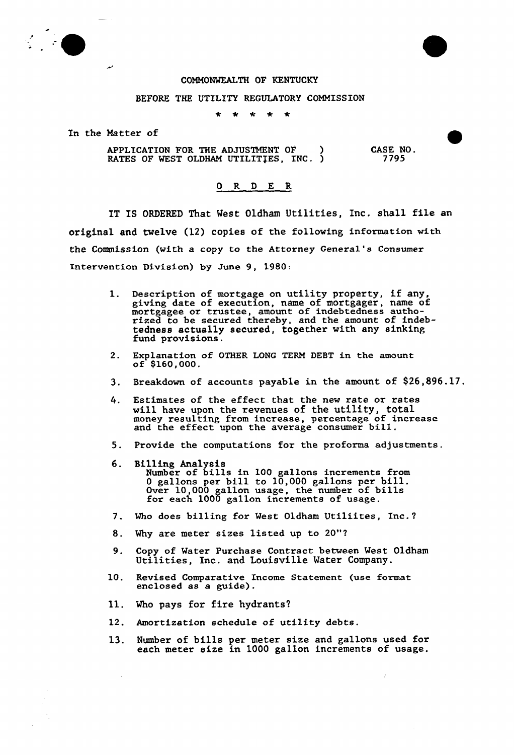

## COMMONWEALTH OF KENTUCKY

## BEFORE THE UTILITY REGULATORY COMMISSION

 $\ddot{\textbf{x}}$  $*$   $*$  $\star$  $\star$ 

In the Matter of

ب

APPLICATION FOR THE ADJUSTMENT OF ) RATES OF WEST OLDHAM UTILITIES, INC. ) CASE NO. 7795

## 0 R <sup>D</sup> E R

IT IS ORDERED That West Oldham Utilities, Inc. shall file an original and twelve (12) copies of the following information with the Commission (with a copy to the Attorney General's Consumer Intervention Division) by June 9, 1980:

- 1. Description of mortgage on utility property, if any giving date of execution, name of mortgager, name of grying tate of execution, name of mortgager, name rized to be secured thereby, and the amount of indeb tedness actually secured, together with any sinking fund provisions.
- 2. Explanation of OTHER LONG TERM DEBT in the amount of \$160,000.
- 3, Bxeakdown of accounts payable in the amount of \$26,S96.17.
- 4. Estimates of the effect that the new rate or rates will have upon the revenues of the utility, total money resulting from increase, percentage of increase money resulting from increase, percentage of 1
- 5. Provide the computations fox the proforma adjustments.
- 6. Billing Analysi Number of bills in 100 gallons increments from Number of bills in 100 gallons increments from<br>0 gallons per bill to 10,000 gallons per bill o garions per biri co ro, 000 garions per bills<br>Over 10,000 gallon usage, the number of bills For each 1000 gallon increments of usage.
- 7. Who does billing fox West Oldham Utiliites, Inc.?
- 8. Why are meter sizes listed up to 20"?
- 9. Copy of Water Purchase Contract between West Oldham Utilities, Inc. and Louisville Water Company.
- 10. Revised Comparative Income Statement (use format enclosed as a guide).
- 11. Who pays for fire hydrants?

 $\mathcal{A}$ 

 $\sim$ 

 $\mathcal{F}^{(2)}$ 

- 12. Amortization schedule of utility debts.
- 13. Number of bills per meter size and gallons used for each meter size in 1000 gallon increments of usage

ž.